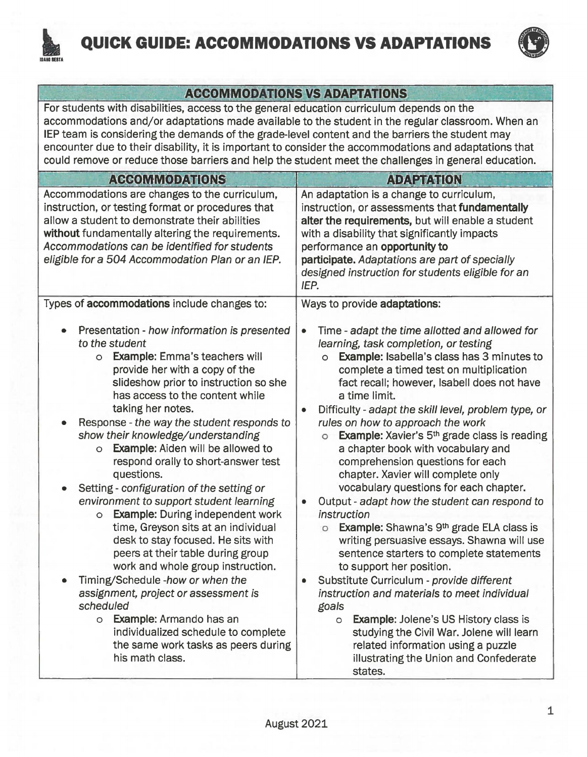

## **QUICK GUIDE: ACCOMMODATIONS VS ADAPTATIONS**



## **ACCOMMODATIONS VS ADAPTATIONS**

For students with disabilities, access to the general education curriculum depends on the accommodations and/or adaptations made available to the student in the regular classroom. When an IEP team is considering the demands of the grade-level content and the barriers the student may encounter due to their disability, it is important to consider the accommodations and adaptations that could remove or reduce those barriers and help the student meet the challenges in general education.

| <b>ACCOMMODATIONS</b>                                                                                                                                                                                                                                                                                                                                                                                                                                                                                                                                                                                                                                                                                                                                                                                                                                                                                                                                                                                                          | <b>ADAPTATION</b>                                                                                                                                                                                                                                                                                                                                                                                                                                                                                                                                                                                                                                                                                                                                                                                                                                                                                                                                                                                                                                                                                                                                                                                                                             |
|--------------------------------------------------------------------------------------------------------------------------------------------------------------------------------------------------------------------------------------------------------------------------------------------------------------------------------------------------------------------------------------------------------------------------------------------------------------------------------------------------------------------------------------------------------------------------------------------------------------------------------------------------------------------------------------------------------------------------------------------------------------------------------------------------------------------------------------------------------------------------------------------------------------------------------------------------------------------------------------------------------------------------------|-----------------------------------------------------------------------------------------------------------------------------------------------------------------------------------------------------------------------------------------------------------------------------------------------------------------------------------------------------------------------------------------------------------------------------------------------------------------------------------------------------------------------------------------------------------------------------------------------------------------------------------------------------------------------------------------------------------------------------------------------------------------------------------------------------------------------------------------------------------------------------------------------------------------------------------------------------------------------------------------------------------------------------------------------------------------------------------------------------------------------------------------------------------------------------------------------------------------------------------------------|
| Accommodations are changes to the curriculum,<br>instruction, or testing format or procedures that<br>allow a student to demonstrate their abilities<br>without fundamentally altering the requirements.<br>Accommodations can be identified for students<br>eligible for a 504 Accommodation Plan or an IEP.                                                                                                                                                                                                                                                                                                                                                                                                                                                                                                                                                                                                                                                                                                                  | An adaptation is a change to curriculum,<br>instruction, or assessments that fundamentally<br>alter the requirements, but will enable a student<br>with a disability that significantly impacts<br>performance an opportunity to<br>participate. Adaptations are part of specially<br>designed instruction for students eligible for an<br>IEP.                                                                                                                                                                                                                                                                                                                                                                                                                                                                                                                                                                                                                                                                                                                                                                                                                                                                                               |
| Types of accommodations include changes to:<br>Presentation - how information is presented<br>to the student<br><b>Example:</b> Emma's teachers will<br>$\circ$<br>provide her with a copy of the<br>slideshow prior to instruction so she<br>has access to the content while<br>taking her notes.<br>Response - the way the student responds to<br>show their knowledge/understanding<br><b>Example:</b> Aiden will be allowed to<br>$\circ$<br>respond orally to short-answer test<br>questions.<br>Setting - configuration of the setting or<br>environment to support student learning<br><b>Example: During independent work</b><br>$\circ$<br>time, Greyson sits at an individual<br>desk to stay focused. He sits with<br>peers at their table during group<br>work and whole group instruction.<br>Timing/Schedule -how or when the<br>assignment, project or assessment is<br>scheduled<br>o Example: Armando has an<br>individualized schedule to complete<br>the same work tasks as peers during<br>his math class. | Ways to provide adaptations:<br>Time - adapt the time allotted and allowed for<br>$\bullet$<br>learning, task completion, or testing<br><b>Example: Isabella's class has 3 minutes to</b><br>$\circ$<br>complete a timed test on multiplication<br>fact recall; however, Isabell does not have<br>a time limit.<br>Difficulty - adapt the skill level, problem type, or<br>۰<br>rules on how to approach the work<br><b>Example:</b> Xavier's 5 <sup>th</sup> grade class is reading<br>$\circ$<br>a chapter book with vocabulary and<br>comprehension questions for each<br>chapter. Xavier will complete only<br>vocabulary questions for each chapter.<br>Output - adapt how the student can respond to<br>$\bullet$<br>instruction<br>Example: Shawna's 9 <sup>th</sup> grade ELA class is<br>$\circ$<br>writing persuasive essays. Shawna will use<br>sentence starters to complete statements<br>to support her position.<br>Substitute Curriculum - provide different<br>۰<br>instruction and materials to meet individual<br>goals<br><b>Example: Jolene's US History class is</b><br>$\circ$<br>studying the Civil War. Jolene will learn<br>related information using a puzzle<br>illustrating the Union and Confederate<br>states. |